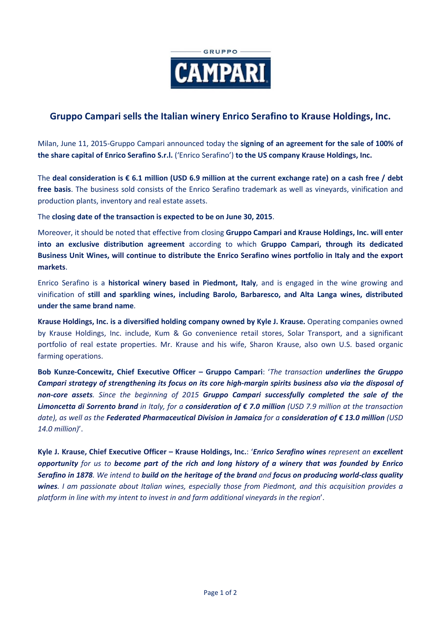

# **Gruppo Campari sells the Italian winery Enrico Serafino to Krause Holdings, Inc.**

Milan, June 11, 2015-Gruppo Campari announced today the **signing of an agreement for the sale of 100% of the share capital of Enrico Serafino S.r.l.** ('Enrico Serafino') **to the US company Krause Holdings, Inc.**

The **deal consideration is € 6.1 million (USD 6.9 million at the current exchange rate) on a cash free / debt free basis**. The business sold consists of the Enrico Serafino trademark as well as vineyards, vinification and production plants, inventory and real estate assets.

The **closing date of the transaction is expected to be on June 30, 2015**.

Moreover, it should be noted that effective from closing **Gruppo Campari and Krause Holdings, Inc. will enter into an exclusive distribution agreement** according to which **Gruppo Campari, through its dedicated Business Unit Wines, will continue to distribute the Enrico Serafino wines portfolio in Italy and the export markets**.

Enrico Serafino is a **historical winery based in Piedmont, Italy**, and is engaged in the wine growing and vinification of **still and sparkling wines, including Barolo, Barbaresco, and Alta Langa wines, distributed under the same brand name**.

**Krause Holdings, Inc. is a diversified holding company owned by Kyle J. Krause.** Operating companies owned by Krause Holdings, Inc. include, Kum & Go convenience retail stores, Solar Transport, and a significant portfolio of real estate properties. Mr. Krause and his wife, Sharon Krause, also own U.S. based organic farming operations.

**Bob Kunze-Concewitz, Chief Executive Officer – Gruppo Campari**: '*The transaction underlines the Gruppo Campari strategy of strengthening its focus on its core high-margin spirits business also via the disposal of non-core assets. Since the beginning of 2015 Gruppo Campari successfully completed the sale of the Limoncetta di Sorrento brand in Italy, for a consideration of € 7.0 million (USD 7.9 million at the transaction date), as well as the Federated Pharmaceutical Division in Jamaica for a consideration of € 13.0 million (USD 14.0 million)*'.

**Kyle J. Krause, Chief Executive Officer – Krause Holdings, Inc.**: '*Enrico Serafino wines represent an excellent opportunity for us to become part of the rich and long history of a winery that was founded by Enrico Serafino in 1878. We intend to build on the heritage of the brand and focus on producing world-class quality wines. I am passionate about Italian wines, especially those from Piedmont, and this acquisition provides a platform in line with my intent to invest in and farm additional vineyards in the region*'.